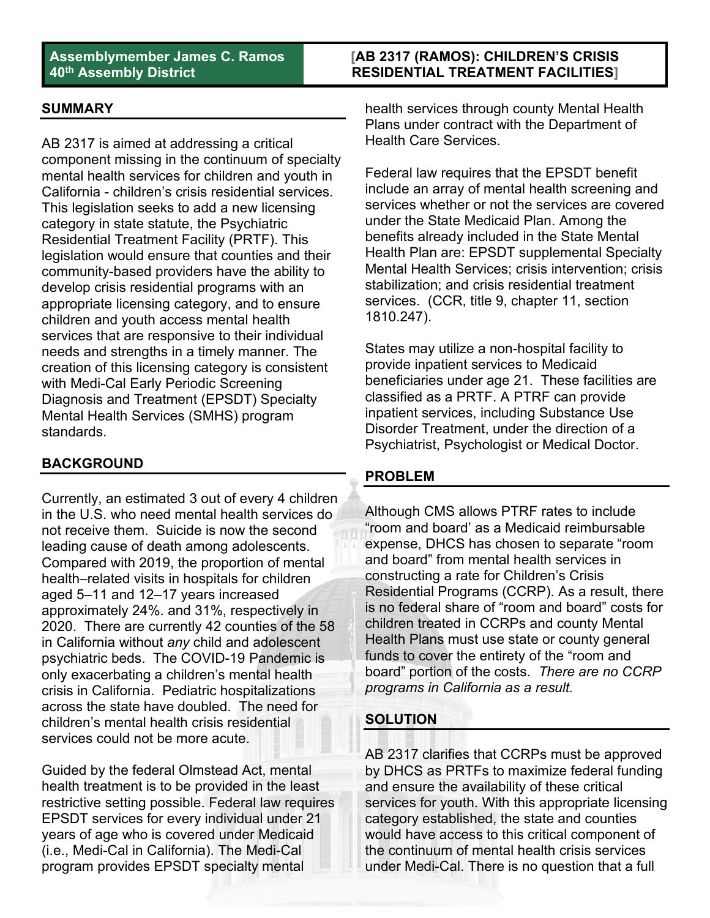# **[AB 2317 (RAMOS): CHILDREN'S CRISIS RESIDENTIAL TREATMENT FACILITIES]**

### **SUMMARY**

AB 2317 is aimed at addressing a critical component missing in the continuum of specialty mental health services for children and youth in California - children's crisis residential services. This legislation seeks to add a new licensing category in state statute, the Psychiatric Residential Treatment Facility (PRTF). This legislation would ensure that counties and their community-based providers have the ability to develop crisis residential programs with an appropriate licensing category, and to ensure children and youth access mental health services that are responsive to their individual needs and strengths in a timely manner. The creation of this licensing category is consistent with Medi-Cal Early Periodic Screening Diagnosis and Treatment (EPSDT) Specialty Mental Health Services (SMHS) program standards.

# **BACKGROUND**

Currently, an estimated 3 out of every 4 children in the U.S. who need mental health services do not receive them. Suicide is now the second leading cause of death among adolescents. Compared with 2019, the proportion of mental health–related visits in hospitals for children aged 5–11 and 12–17 years increased approximately 24%. and 31%, respectively in 2020. There are currently 42 counties of the 58 in California without *any* child and adolescent psychiatric beds. The COVID-19 Pandemic is only exacerbating a children's mental health crisis in California. Pediatric hospitalizations across the state have doubled. The need for children's mental health crisis residential services could not be more acute.

Guided by the federal Olmstead Act, mental health treatment is to be provided in the least restrictive setting possible. Federal law requires EPSDT services for every individual under 21 years of age who is covered under Medicaid (i.e., Medi-Cal in California). The Medi-Cal program provides EPSDT specialty mental

health services through county Mental Health Plans under contract with the Department of Health Care Services.

Federal law requires that the EPSDT benefit include an array of mental health screening and services whether or not the services are covered under the State Medicaid Plan. Among the benefits already included in the State Mental Health Plan are: EPSDT supplemental Specialty Mental Health Services; crisis intervention; crisis stabilization; and crisis residential treatment services. (CCR, title 9, chapter 11, section 1810.247).

States may utilize a non-hospital facility to provide inpatient services to Medicaid beneficiaries under age 21. These facilities are classified as a PRTF. A PTRF can provide inpatient services, including Substance Use Disorder Treatment, under the direction of a Psychiatrist, Psychologist or Medical Doctor.

#### **PROBLEM**

Although CMS allows PTRF rates to include "room and board' as a Medicaid reimbursable expense, DHCS has chosen to separate "room and board" from mental health services in constructing a rate for Children's Crisis Residential Programs (CCRP). As a result, there is no federal share of "room and board" costs for children treated in CCRPs and county Mental Health Plans must use state or county general funds to cover the entirety of the "room and board" portion of the costs. *There are no CCRP programs in California as a result.*

# **SOLUTION**

AB 2317 clarifies that CCRPs must be approved by DHCS as PRTFs to maximize federal funding and ensure the availability of these critical services for youth. With this appropriate licensing category established, the state and counties would have access to this critical component of the continuum of mental health crisis services under Medi-Cal. There is no question that a full